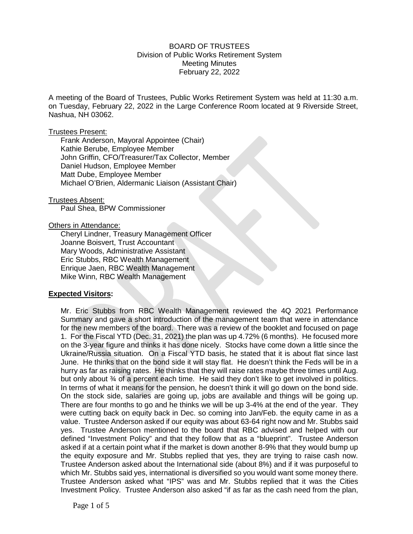## BOARD OF TRUSTEES Division of Public Works Retirement System Meeting Minutes February 22, 2022

A meeting of the Board of Trustees, Public Works Retirement System was held at 11:30 a.m. on Tuesday, February 22, 2022 in the Large Conference Room located at 9 Riverside Street, Nashua, NH 03062.

#### Trustees Present:

Frank Anderson, Mayoral Appointee (Chair) Kathie Berube, Employee Member John Griffin, CFO/Treasurer/Tax Collector, Member Daniel Hudson, Employee Member Matt Dube, Employee Member Michael O'Brien, Aldermanic Liaison (Assistant Chair)

#### Trustees Absent:

Paul Shea, BPW Commissioner

### Others in Attendance:

Cheryl Lindner, Treasury Management Officer Joanne Boisvert, Trust Accountant Mary Woods, Administrative Assistant Eric Stubbs, RBC Wealth Management Enrique Jaen, RBC Wealth Management Mike Winn, RBC Wealth Management

### **Expected Visitors:**

Mr. Eric Stubbs from RBC Wealth Management reviewed the 4Q 2021 Performance Summary and gave a short introduction of the management team that were in attendance for the new members of the board. There was a review of the booklet and focused on page 1. For the Fiscal YTD (Dec. 31, 2021) the plan was up 4.72% (6 months). He focused more on the 3-year figure and thinks it has done nicely. Stocks have come down a little since the Ukraine/Russia situation. On a Fiscal YTD basis, he stated that it is about flat since last June. He thinks that on the bond side it will stay flat. He doesn't think the Feds will be in a hurry as far as raising rates. He thinks that they will raise rates maybe three times until Aug. but only about ¾ of a percent each time. He said they don't like to get involved in politics. In terms of what it means for the pension, he doesn't think it will go down on the bond side. On the stock side, salaries are going up, jobs are available and things will be going up. There are four months to go and he thinks we will be up 3-4% at the end of the year. They were cutting back on equity back in Dec. so coming into Jan/Feb. the equity came in as a value. Trustee Anderson asked if our equity was about 63-64 right now and Mr. Stubbs said yes. Trustee Anderson mentioned to the board that RBC advised and helped with our defined "Investment Policy" and that they follow that as a "blueprint". Trustee Anderson asked if at a certain point what if the market is down another 8-9% that they would bump up the equity exposure and Mr. Stubbs replied that yes, they are trying to raise cash now. Trustee Anderson asked about the International side (about 8%) and if it was purposeful to which Mr. Stubbs said yes, international is diversified so you would want some money there. Trustee Anderson asked what "IPS" was and Mr. Stubbs replied that it was the Cities Investment Policy. Trustee Anderson also asked "if as far as the cash need from the plan,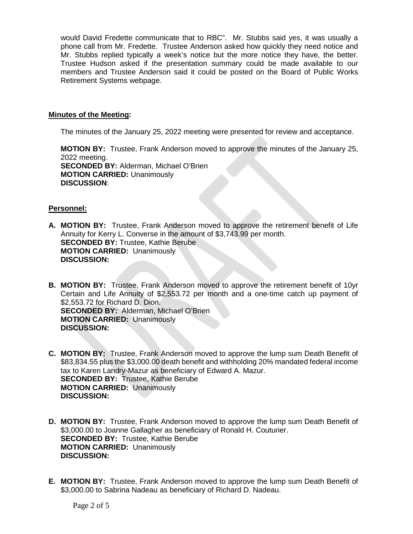would David Fredette communicate that to RBC". Mr. Stubbs said yes, it was usually a phone call from Mr. Fredette. Trustee Anderson asked how quickly they need notice and Mr. Stubbs replied typically a week's notice but the more notice they have, the better. Trustee Hudson asked if the presentation summary could be made available to our members and Trustee Anderson said it could be posted on the Board of Public Works Retirement Systems webpage.

## **Minutes of the Meeting:**

The minutes of the January 25, 2022 meeting were presented for review and acceptance.

**MOTION BY:** Trustee, Frank Anderson moved to approve the minutes of the January 25, 2022 meeting. **SECONDED BY:** Alderman, Michael O'Brien **MOTION CARRIED:** Unanimously **DISCUSSION**:

# **Personnel:**

- **A. MOTION BY:** Trustee, Frank Anderson moved to approve the retirement benefit of Life Annuity for Kerry L. Converse in the amount of \$3,743.99 per month. **SECONDED BY:** Trustee, Kathie Berube **MOTION CARRIED:** Unanimously **DISCUSSION:**
- **B. MOTION BY:** Trustee, Frank Anderson moved to approve the retirement benefit of 10yr Certain and Life Annuity of \$2,553.72 per month and a one-time catch up payment of \$2,553.72 for Richard D. Dion. **SECONDED BY:** Alderman, Michael O'Brien **MOTION CARRIED:** Unanimously **DISCUSSION:**
- **C. MOTION BY:** Trustee, Frank Anderson moved to approve the lump sum Death Benefit of \$83,834.55 plus the \$3,000.00 death benefit and withholding 20% mandated federal income tax to Karen Landry-Mazur as beneficiary of Edward A. Mazur. **SECONDED BY:** Trustee, Kathie Berube **MOTION CARRIED:** Unanimously **DISCUSSION:**
- **D. MOTION BY:** Trustee, Frank Anderson moved to approve the lump sum Death Benefit of \$3,000.00 to Joanne Gallagher as beneficiary of Ronald H. Couturier. **SECONDED BY:** Trustee, Kathie Berube **MOTION CARRIED:** Unanimously **DISCUSSION:**
- **E. MOTION BY:** Trustee, Frank Anderson moved to approve the lump sum Death Benefit of \$3,000.00 to Sabrina Nadeau as beneficiary of Richard D. Nadeau.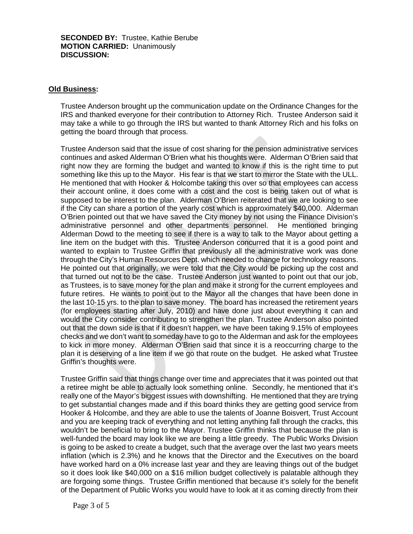**SECONDED BY:** Trustee, Kathie Berube **MOTION CARRIED:** Unanimously **DISCUSSION:**

# **Old Business:**

Trustee Anderson brought up the communication update on the Ordinance Changes for the IRS and thanked everyone for their contribution to Attorney Rich. Trustee Anderson said it may take a while to go through the IRS but wanted to thank Attorney Rich and his folks on getting the board through that process.

Trustee Anderson said that the issue of cost sharing for the pension administrative services continues and asked Alderman O'Brien what his thoughts were. Alderman O'Brien said that right now they are forming the budget and wanted to know if this is the right time to put something like this up to the Mayor. His fear is that we start to mirror the State with the ULL. He mentioned that with Hooker & Holcombe taking this over so that employees can access their account online, it does come with a cost and the cost is being taken out of what is supposed to be interest to the plan. Alderman O'Brien reiterated that we are looking to see if the City can share a portion of the yearly cost which is approximately \$40,000. Alderman O'Brien pointed out that we have saved the City money by not using the Finance Division's administrative personnel and other departments personnel. He mentioned bringing Alderman Dowd to the meeting to see if there is a way to talk to the Mayor about getting a line item on the budget with this. Trustee Anderson concurred that it is a good point and wanted to explain to Trustee Griffin that previously all the administrative work was done through the City's Human Resources Dept. which needed to change for technology reasons. He pointed out that originally, we were told that the City would be picking up the cost and that turned out not to be the case. Trustee Anderson just wanted to point out that our job, as Trustees, is to save money for the plan and make it strong for the current employees and future retires. He wants to point out to the Mayor all the changes that have been done in the last 10-15 yrs. to the plan to save money. The board has increased the retirement years (for employees starting after July, 2010) and have done just about everything it can and would the City consider contributing to strengthen the plan. Trustee Anderson also pointed out that the down side is that if it doesn't happen, we have been taking 9.15% of employees checks and we don't want to someday have to go to the Alderman and ask for the employees to kick in more money. Alderman O'Brien said that since it is a reoccurring charge to the plan it is deserving of a line item if we go that route on the budget. He asked what Trustee Griffin's thoughts were.

Trustee Griffin said that things change over time and appreciates that it was pointed out that a retiree might be able to actually look something online. Secondly, he mentioned that it's really one of the Mayor's biggest issues with downshifting. He mentioned that they are trying to get substantial changes made and if this board thinks they are getting good service from Hooker & Holcombe, and they are able to use the talents of Joanne Boisvert, Trust Account and you are keeping track of everything and not letting anything fall through the cracks, this wouldn't be beneficial to bring to the Mayor. Trustee Griffin thinks that because the plan is well-funded the board may look like we are being a little greedy. The Public Works Division is going to be asked to create a budget, such that the average over the last two years meets inflation (which is 2.3%) and he knows that the Director and the Executives on the board have worked hard on a 0% increase last year and they are leaving things out of the budget so it does look like \$40,000 on a \$16 million budget collectively is palatable although they are forgoing some things. Trustee Griffin mentioned that because it's solely for the benefit of the Department of Public Works you would have to look at it as coming directly from their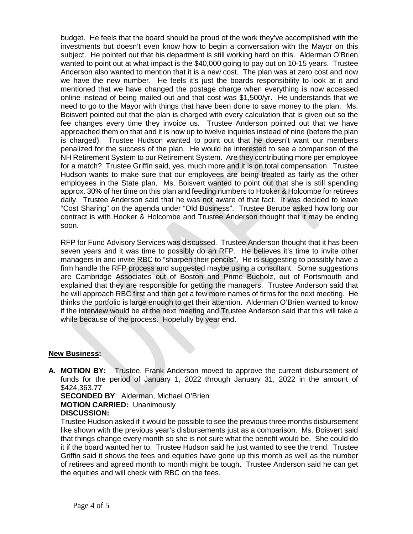budget. He feels that the board should be proud of the work they've accomplished with the investments but doesn't even know how to begin a conversation with the Mayor on this subject. He pointed out that his department is still working hard on this. Alderman O'Brien wanted to point out at what impact is the \$40,000 going to pay out on 10-15 years. Trustee Anderson also wanted to mention that it is a new cost. The plan was at zero cost and now we have the new number. He feels it's just the boards responsibility to look at it and mentioned that we have changed the postage charge when everything is now accessed online instead of being mailed out and that cost was \$1,500/yr. He understands that we need to go to the Mayor with things that have been done to save money to the plan. Ms. Boisvert pointed out that the plan is charged with every calculation that is given out so the fee changes every time they invoice us. Trustee Anderson pointed out that we have approached them on that and it is now up to twelve inquiries instead of nine (before the plan is charged). Trustee Hudson wanted to point out that he doesn't want our members penalized for the success of the plan. He would be interested to see a comparison of the NH Retirement System to our Retirement System. Are they contributing more per employee for a match? Trustee Griffin said, yes, much more and it is on total compensation. Trustee Hudson wants to make sure that our employees are being treated as fairly as the other employees in the State plan. Ms. Boisvert wanted to point out that she is still spending approx. 30% of her time on this plan and feeding numbers to Hooker & Holcombe for retirees daily. Trustee Anderson said that he was not aware of that fact. It was decided to leave "Cost Sharing" on the agenda under "Old Business". Trustee Berube asked how long our contract is with Hooker & Holcombe and Trustee Anderson thought that it may be ending soon.

RFP for Fund Advisory Services was discussed. Trustee Anderson thought that it has been seven years and it was time to possibly do an RFP. He believes it's time to invite other managers in and invite RBC to "sharpen their pencils". He is suggesting to possibly have a firm handle the RFP process and suggested maybe using a consultant. Some suggestions are Cambridge Associates out of Boston and Prime Bucholz, out of Portsmouth and explained that they are responsible for getting the managers. Trustee Anderson said that he will approach RBC first and then get a few more names of firms for the next meeting. He thinks the portfolio is large enough to get their attention. Alderman O'Brien wanted to know if the interview would be at the next meeting and Trustee Anderson said that this will take a while because of the process. Hopefully by year end.

## **New Business:**

**A. MOTION BY:** Trustee, Frank Anderson moved to approve the current disbursement of funds for the period of January 1, 2022 through January 31, 2022 in the amount of \$424,363.77

**SECONDED BY**: Alderman, Michael O'Brien **MOTION CARRIED:** Unanimously **DISCUSSION:**

Trustee Hudson asked if it would be possible to see the previous three months disbursement like shown with the previous year's disbursements just as a comparison. Ms. Boisvert said that things change every month so she is not sure what the benefit would be. She could do it if the board wanted her to. Trustee Hudson said he just wanted to see the trend. Trustee Griffin said it shows the fees and equities have gone up this month as well as the number of retirees and agreed month to month might be tough. Trustee Anderson said he can get the equities and will check with RBC on the fees.